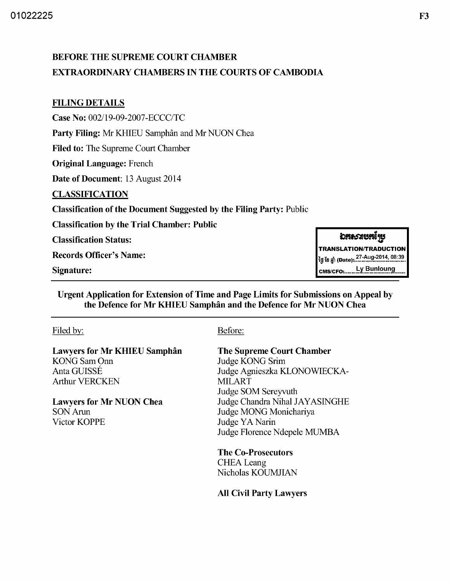# BEFORE THE SUPREME COURT CHAMBER EXTRAORDINARY CHAMBERS IN THE COURTS OF CAMBODIA

### FILING DETAILS

Case No: *002/19-09-2007-ECCC/TC* 

Party Filing: Mr KHIEU Samphân and Mr NUON Chea

Filed to: The Supreme Court Chamber

Original Language: French

Date of Document: 13 August 2014

### CLASSIFICATION

Classification of the Document Suggested by the Filing Party: Public

Classification by the Trial Chamber: Public

Classification Status:

Records Officer's Name:

Signature:

Urgent Application for Extension of Time and Page Limits for Submissions on Appeal by the Defence for Mr KHIEU Samphân and the Defence for Mr NUON Chea

#### Filed by:

Lawyers for Mr KHIEU Samphan KONG Sam Onn AntaGUISSE Arthur VERCKEN

Lawyers for Mr NUON Chea SON Arun Victor KOPPE

### Before:

### The Supreme Court Chamber

Judge KONG Srim Judge Agnieszka KLONOWIECKA-MILART Judge SOM Sereyvuth Judge Chandra Nihal JAYASINGHE Judge MONG Monichariya Judge YA Narin Judge Florence Ndepele MUMBA

The Co-Prosecutors **CHEA** Leang Nicholas KOUMJIAN

### All Civil Party Lawyers

# <u>อสอวสบสเ้¶บ</u>

**TRANSLATIONITRADUCTION**  ig ខែ ឆ្នាំ (Date): <sup>27-Aug-2014, 08:39</sup>

CMS/CFO: Ly Bunloung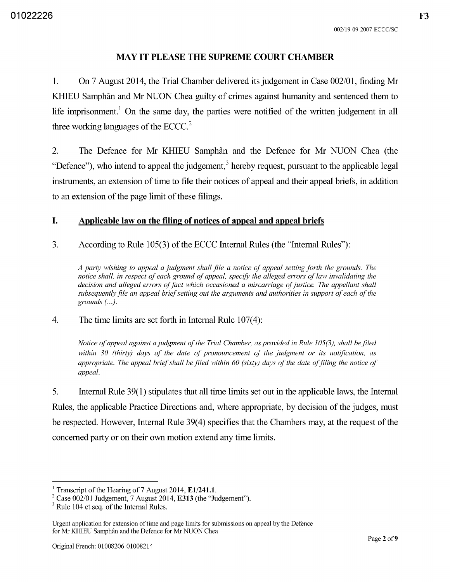### **MAY IT PLEASE THE SUPREME COURT CHAMBER**

l. On 7 August 2014, the Trial Chamber delivered its judgement in Case 002/01, finding Mr KHIEU Samphân and Mr NUON Chea guilty of crimes against humanity and sentenced them to life imprisonment.<sup>1</sup> On the same day, the parties were notified of the written judgement in all three working languages of the ECCC.<sup>2</sup>

2. The Defence for Mr KHIEU Samphân and the Defence for Mr NUON Chea (the "Defence"), who intend to appeal the judgement,<sup>3</sup> hereby request, pursuant to the applicable legal instruments, an extension of time to file their notices of appeal and their appeal briefs, in addition to an extension of the page limit of these filings.

### **I. Applicable law on the filing of notices of appeal and appeal briefs**

3. According to Rule 105(3) of the ECCC Internal Rules (the "Internal Rules"):

*A party wishing to appeal a judgment shall file a notice of appeal setting forth the grounds. The notice shall, in respect of each ground of appeal, specify the alleged errors of law invalidating the* decision and alleged errors of fact which occasioned a miscarriage of justice. The appellant shall subsequently file an appeal brief setting out the arguments and authorities in support of each of the *grounds (...).* 

### 4. The time limits are set forth in Internal Rule 107(4):

*Notice of appeal against a judgment of the Trial Chamber, as provided in Rule 105(3), shall be filed within 30 (thirty) days of the date of pronouncement of the judgment or its notification, as appropriate. The appeal brief shall be filed within 60 (sixty) days of the date of filing the notice of appeal.* 

5. Internal Rule 39(1) stipulates that all time limits set out in the applicable laws, the Internal Rules, the applicable Practice Directions and, where appropriate, by decision of the judges, must be respected. However, Internal Rule 39(4) specifies that the Chambers may, at the request of the concerned party or on their own motion extend any time limits.

Transcript of the Hearing of 7 August 2014, E1/241.1.

 $2^2$  Case 002/01 Judgement, 7 August 2014, E313 (the "Judgement").

 $3$  Rule 104 et seq. of the Internal Rules.

Urgent application for extension of time and page limits for submissions on appeal by the Defence for Mr KHIEU Samphân and the Defence for Mr NUON Chea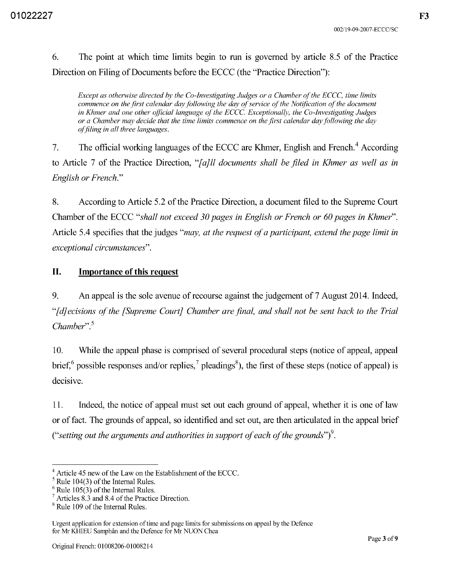6. The point at which time limits begin to run is governed by article 8.5 of the Practice Direction on Filing of Documents before the ECCC (the "Practice Direction"):

*Except as otherwise directed by the Co-Investigating Judges or a Chamber of the ECCC, time limits*  commence on the first calendar day following the day of service of the Notification of the document in Khmer and one other official language of the ECCC. Exceptionally, the Co-Investigating Judges *or a Chamber may decide that the time limits commence on the first calendar day following the day offiling in all three languages.* 

7. The official working languages of the ECCC are Khmer, English and French.<sup>4</sup> According to Article 7 of the Practice Direction, *"[aJll documents shall be filed in Khmer as well as in English or French."* 

8. According to Article 5.2 of the Practice Direction, a document filed to the Supreme Court Chamber of the ECCC *"shall not exceed 30 pages in English or French or 60 pages in Khmer".*  Article 5.4 specifies that the judges *"may, at the request of a participant, extend the page limit in exceptional circumstances".* 

# **II. Importance of this request**

9. An appeal is the sole avenue of recourse against the judgement of 7 August 2014. Indeed, "[ *dJ ecisions of the [Supreme Court] Chamber are final, and shall not be sent back to the Trial Chamber".* <sup>5</sup>

10. While the appeal phase is comprised of several procedural steps (notice of appeal, appeal brief, $^6$  possible responses and/or replies, $^7$  pleadings $^8$ ), the first of these steps (notice of appeal) is decisive.

11. Indeed, the notice of appeal must set out each ground of appeal, whether it is one of law or of fact. The grounds of appeal, so identified and set out, are then articulated in the appeal brief *("setting out the arguments and authorities in support of each of the grounds")*<sup>9</sup>.

<sup>4</sup> Article 45 new of the Law on the Establishment of the ECCC.

 $<sup>5</sup>$  Rule 104(3) of the Internal Rules.</sup>

 $6$  Rule 105(3) of the Internal Rules.

 $7$  Articles  $8.\overline{3}$  and  $8.4$  of the Practice Direction.

<sup>&</sup>lt;sup>8</sup> Rule 109 of the Internal Rules.

Urgent application for extension of time and page limits for submissions on appeal by the Defence for Mr KHIEU Samphân and the Defence for Mr NUON Chea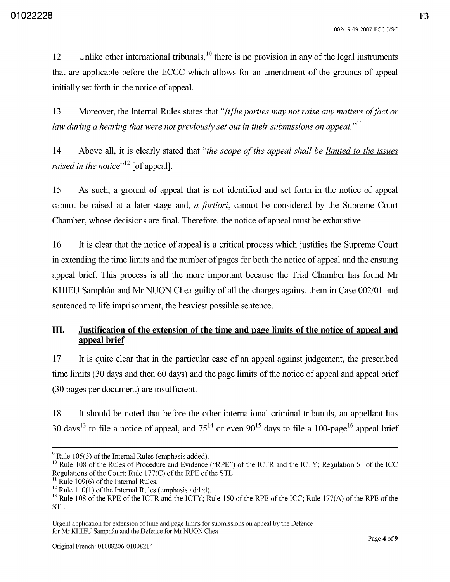12. Unlike other international tribunals,  $\frac{10}{10}$  there is no provision in any of the legal instruments that are applicable before the ECCC which allows for an amendment of the grounds of appeal initially set forth in the notice of appeal.

l3. Moreover, the Internal Rules states that "[t] *he parties may not raise any matters of fact or law during a hearing that were not previously set out in their submissions on appeal.*<sup>111</sup>

14. Above all, it is clearly stated that *"the scope of the appeal shall be limited to the issues raised in the notice"12* [of appeal].

15. As such, a ground of appeal that is not identified and set forth in the notice of appeal cannot be raised at a later stage and, *a fortiori,* cannot be considered by the Supreme Court Chamber, whose decisions are final. Therefore, the notice of appeal must be exhaustive.

16. It is clear that the notice of appeal is a critical process which justifies the Supreme Court in extending the time limits and the number of pages for both the notice of appeal and the ensuing appeal brief. This process is all the more important because the Trial Chamber has found Mr KHIEU Samphân and Mr NUON Chea guilty of all the charges against them in Case 002/01 and sentenced to life imprisonment, the heaviest possible sentence.

# **III. Justification of the extension of the time and page limits of the notice of appeal and appeal brief**

17. It is quite clear that in the particular case of an appeal against judgement, the prescribed time limits (30 days and then 60 days) and the page limits of the notice of appeal and appeal brief (30 pages per document) are insufficient.

18. It should be noted that before the other international criminal tribunals, an appellant has 30 days<sup>13</sup> to file a notice of appeal, and  $75^{14}$  or even  $90^{15}$  days to file a 100-page<sup>16</sup> appeal brief

 $9^9$  Rule 105(3) of the Internal Rules (emphasis added).

<sup>&</sup>lt;sup>10</sup> Rule 108 of the Rules of Procedure and Evidence ("RPE") of the ICTR and the ICTY; Regulation 61 of the ICC Regulations of the Court; Rule l77(C) of the RPE of the STL.

 $11$  Rule 109(6) of the Internal Rules.

<sup>&</sup>lt;sup>12</sup> Rule 110(1) of the Internal Rules (emphasis added).

<sup>&</sup>lt;sup>13</sup> Rule 108 of the RPE of the ICTR and the ICTY; Rule 150 of the RPE of the ICC; Rule 177(A) of the RPE of the STL.

Urgent application for extension of time and page limits for submissions on appeal by the Defence for Mr KHIEU Samphân and the Defence for Mr NUON Chea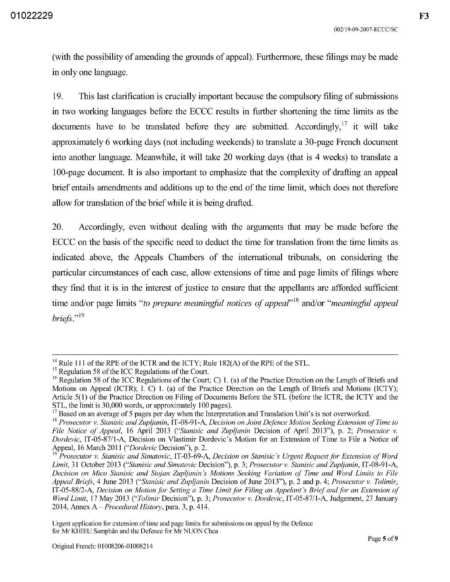(with the possibility of amending the grounds of appeal). Furthermore, these filings may be made in only one language.

19. This last clarification is crucially important because the compulsory filing of submissions in two working languages before the ECCC results in further shortening the time limits as the documents have to be translated before they are submitted. Accordingly, it will take approximately 6 working days (not including weekends) to translate a 30-page French document into another language. Meanwhile, it will take 20 working days (that is 4 weeks) to translate a 100-page document. It is also important to emphasize that the complexity of drafting an appeal brief entails amendments and additions up to the end of the time limit, which does not therefore allow for translation of the brief while it is being drafted.

20. Accordingly, even without dealing with the arguments that may be made before the ECCC on the basis of the specific need to deduct the time for translation from the time limits as indicated above, the Appeals Chambers of the international tribunals, on considering the particular circumstances of each case, allow extensions of time and page limits of filings where they find that it is in the interest of justice to ensure that the appellants are afforded sufficient time and/or page limits "to prepare meaningful notices of appeal"<sup>18</sup> and/or "meaningful appeal" *briefs.*"<sup>19</sup>

 $14$  Rule 111 of the RPE of the ICTR and the ICTY; Rule 182(A) of the RPE of the STL.

 $15$  Regulation 58 of the ICC Regulations of the Court.

<sup>&</sup>lt;sup>16</sup> Regulation 58 of the ICC Regulations of the Court; C) 1. (a) of the Practice Direction on the Length of Briefs and Motions on Appeal (ICTR); I. C) l. (a) of the Practice Direction on the Length of Briefs and Motions (ICTy); Article 5( 1) of the Practice Direction on Filing of Documents Before the STL (before the ICTR, the ICTY and the STL, the limit is 30,000 words, or approximately 100 pages).

 $17$  Based on an average of 5 pages per day when the Interpretation and Translation Unit's is not overworked.

<sup>18</sup>*Prosecutor v. Stanisic and Zupljanin,* IT-08-9l-A, *Decision on Joint De/ence Motion Seeking Extension of Time to File Notice of Appeal,* 16 April 2013 *("Stanisic and Zupljanin* Decision of April 20l3"), p. 2; *Prosecutor v. Dordevic,* IT-05-87/l-A, Decision on Vlastimir Dordevic's Motion for an Extension of Time to File a Notice of Appeal, 16 March 2011 *("Dordevic* Decision"), p. 2.

<sup>19</sup>*Prosecutor v. Stanisic and Simatovic,* IT -03-69-A, *Decision on Stanisic's Urgent Request/or Extension of Word Limit,* 31 October 2013 *("Stanisic and Simatovic* Decision"), p. 3; *Prosecutor v. Stanisic and Zupljanin,* IT-08-9l-A, *Decision on Mico Stanisic and Stojan Zupljanin's Motions Seeking Variation of Time and Word Limits to File Appeal Briefs,* 4 June 2013 *("Stanisic and Zupljanin* Decision of June 20l3"), p. 2 and p. 4; *Prosecutor v. Tolimir,*  IT-05-88/2-A, *Decision on Motion for Setting a Time Limit for Filing an Appelant's Brief and for an Extension of Word Limit,* 17 May 2013 *("Tolimir* Decision"), p. 3; *Prosecutor v. Dordevic,* IT-05-87/l-A, Judgement, 27 January 2014, Annex A - *Procedural History,* para. 3, p. 414.

Urgent application for extension of time and page limits for submissions on appeal by the Defence for Mr KHIEU Samphân and the Defence for Mr NUON Chea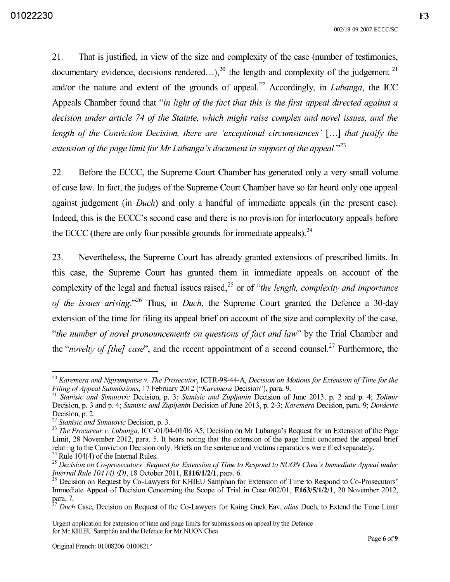2l. That is justified, in view of the size and complexity of the case (number of testimonies, documentary evidence, decisions rendered...),<sup>20</sup> the length and complexity of the judgement<sup>21</sup> and/or the nature and extent of the grounds of appeal. 22 Accordingly, in *Lubanga,* the ICC Appeals Chamber found that *"in light of the fact that this is the first appeal directed against a decision under article* 74 *of the Statute, which might raise complex and novel issues, and the length of the Conviction Decision, there are 'exceptional circumstances'* [...] *that justify the extension of the page limit for Mr Lubanga's document in support of the appeal.*<sup>23</sup>

22. Before the ECCC, the Supreme Court Chamber has generated only a very small volume of case law. In fact, the judges of the Supreme Court Chamber have so far heard only one appeal against judgement (in *Duch)* and only a handful of immediate appeals (in the present case). Indeed, this is the ECCC's second case and there is no provision for interlocutory appeals before the ECCC (there are only four possible grounds for immediate appeals). $^{24}$ 

23. Nevertheless, the Supreme Court has already granted extensions of prescribed limits. In this case, the Supreme Court has granted them in immediate appeals on account of the complexity of the legal and factual issues raised,<sup>25</sup> or of *"the length, complexity and importance of the issues arising.*<sup>26</sup> Thus, in *Duch*, the Supreme Court granted the Defence a 30-day extension of the time for filing its appeal brief on account of the size and complexity of the case, *"the number of novel pronouncements on questions of fact and law"* by the Trial Chamber and the *"novelty of [the] case"*, and the recent appointment of a second counsel.<sup>27</sup> Furthermore, the

*<sup>20</sup> Karemera and Ngirumpatse v. The Prosecutor,* ICTR-98-44-A, *Decision on Motionsfor Extension of Timefor the Filing of Appeal Submissions,* 17 February 2012 *("Karemera* Decision"), para. 9.

<sup>21</sup>*Stanisic and Simatovic* Decision, p. 3; *Stanisic and Zupljanin* Decision of June 2013, p. 2 and p. 4; *Tolimir*  Decision, p. 3 and p. 4; *Stanisic and Zupljanin* Decision of June 2013, p. 2-3; *Karemera* Decision, para. 9; *Dordevic*  Decision, p. 2.

*<sup>22</sup> Stanisic and Simatovic* Decision, p. 3.

*<sup>23</sup> The Procureur v. Lubanga,* ICC-0l/04-0l/06 *AS,* Decision on Mr Lubanga's Request for an Extension of the Page Limit, 28 November 2012, para. 5. It bears noting that the extension of the page limit concerned the appeal brief relating to the Conviction Decision only. Briefs on the sentence and victims reparations were filed separately. <sup>24</sup> Rule 104(4) of the Internal Rules.

<sup>&</sup>lt;sup>25</sup> Decision on Co-prosecutors' Request for Extension of Time to Respond to NUON Chea's Immediate Appeal under *Internal Rule 104* (4) *(D),* 18 October 2011, E116/1/2/l, para. 6.

<sup>&</sup>lt;sup>26</sup> Decision on Request by Co-Lawyers for KHIEU Samphan for Extension of Time to Respond to Co-Prosecutors' Immediate Appeal of Decision Concerning the Scope of Trial in Case 002/01, E163/5/1/2/l, 20 November 2012, para. 7.

*<sup>27</sup> Duch* Case, Decision on Request of the Co-Lawyers for Kaing Guek Eav, *alias* Duch, to Extend the Time Limit

Urgent application for extension of time and page limits for submissions on appeal by the Defence for Mr KHIEU Samphân and the Defence for Mr NUON Chea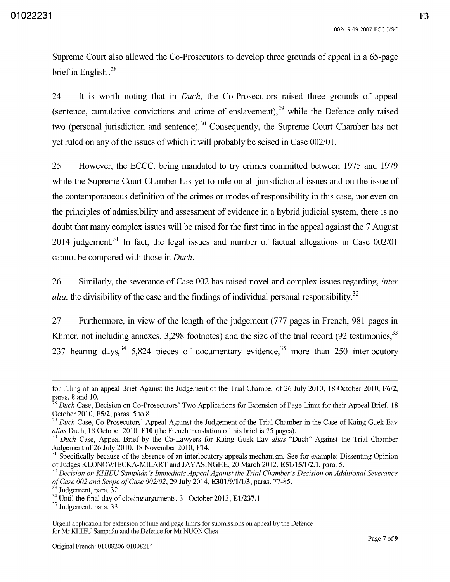Supreme Court also allowed the Co-Prosecutors to develop three grounds of appeal in a 65-page brief in English. 28

24. It is worth noting that in *Duch,* the Co-Prosecutors raised three grounds of appeal (sentence, cumulative convictions and crime of enslavement),  $2<sup>9</sup>$  while the Defence only raised two (personal jurisdiction and sentence). 30 Consequently, the Supreme Court Chamber has not yet ruled on any of the issues of which it will probably be seised in Case *002/0l.* 

25. However, the ECCC, being mandated to try crimes committed between 1975 and 1979 while the Supreme Court Chamber has yet to rule on all jurisdictional issues and on the issue of the contemporaneous definition of the crimes or modes of responsibility in this case, nor even on the principles of admissibility and assessment of evidence in a hybrid judicial system, there is no doubt that many complex issues will be raised for the first time in the appeal against the 7 August 2014 judgement.31 In fact, the legal issues and number of factual allegations in Case *002/01*  cannot be compared with those in *Duch.* 

26. Similarly, the severance of Case 002 has raised novel and complex issues regarding, *inter alia*, the divisibility of the case and the findings of individual personal responsibility.<sup>32</sup>

27. Furthermore, in view of the length of the judgement (777 pages in French, 981 pages in Khmer, not including annexes, 3,298 footnotes) and the size of the trial record (92 testimonies.<sup>33</sup> 237 hearing days,  $3^4$  5,824 pieces of documentary evidence,  $3^5$  more than 250 interlocutory

for Filing of an appeal Brief Against the Judgement of the Trial Chamber of 26 July 2010, 18 October 2010, F6/2, paras. 8 and 10.

<sup>&</sup>lt;sup>8</sup> Duch Case, Decision on Co-Prosecutors' Two Applications for Extension of Page Limit for their Appeal Brief, 18 October 2010, FS/2, paras. 5 to 8.

*<sup>29</sup> Duch* Case, Co-Prosecutors' Appeal Against the Judgement of the Trial Chamber in the Case of Kaing Guek Eav *alias* Duch, 18 October 2010, **FlO** (the French translation of this brief is 75 pages).

*<sup>30</sup> Duch* Case, Appeal Brief by the Co-Lawyers for Kaing Guek Eav *alias* "Duch" Against the Trial Chamber Judgement of26 July 2010, 18 November 2010, F14.

<sup>&</sup>lt;sup>31</sup> Specifically because of the absence of an interlocutory appeals mechanism. See for example: Dissenting Opinion of Judges KLONOWIECKA-MILART and JAYASINGHE, 20 March 2012, E51/15/1/2.1, para. 5.

*<sup>32</sup> Decision on KHIEU Samphan* 's *Immediate Appeal Against the Trial Chamber's Decision on Additional Severance of Case 002 and Scope of Case 002102,* 29 July 2014, E30l/9/l/l/3, paras. 77-85.

Judgement, para. 32.

<sup>&</sup>lt;sup>34</sup> Until the final day of closing arguments, 31 October 2013, E1/237.1.

<sup>35</sup> Judgement, para. 33.

Urgent application for extension of time and page limits for submissions on appeal by the Defence for Mr KHIEU Samphân and the Defence for Mr NUON Chea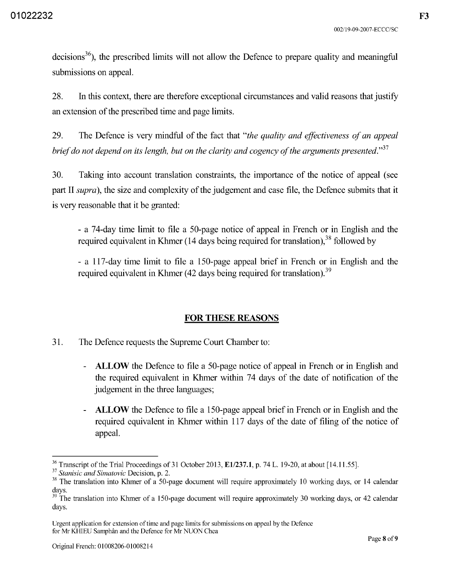$decisions<sup>36</sup>$ , the prescribed limits will not allow the Defence to prepare quality and meaningful submissions on appeal.

28. In this context, there are therefore exceptional circumstances and valid reasons that justify an extension of the prescribed time and page limits.

29. The Defence is very mindful of the fact that *"the quality and effectiveness of an appeal brief do not depend on its length, but on the clarity and cogency of the arguments presented.*<sup>37</sup>

30. Taking into account translation constraints, the importance of the notice of appeal (see part II *supra),* the size and complexity of the judgement and case file, the Defence submits that it is very reasonable that it be granted:

- a 74-day time limit to file a 50-page notice of appeal in French or in English and the required equivalent in Khmer (14 days being required for translation).<sup>38</sup> followed by

- a 117-day time limit to file a 150-page appeal brief in French or in English and the required equivalent in Khmer (42 days being required for translation).<sup>39</sup>

# FOR THESE REASONS

- 31. The Defence requests the Supreme Court Chamber to:
	- ALLOW the Defence to file a 50-page notice of appeal in French or in English and the required equivalent in Khmer within 74 days of the date of notification of the judgement in the three languages;
	- ALLOW the Defence to file a 150-page appeal brief in French or in English and the required equivalent in Khmer within 117 days of the date of filing of the notice of appeal.

 $36$  Transcript of the Trial Proceedings of 31 October 2013, E1/237.1, p. 74 L. 19-20, at about [14.11.55].

*<sup>37</sup> Stanisic and Simatovic* Decision, p. 2.

<sup>&</sup>lt;sup>38</sup> The translation into Khmer of a 50-page document will require approximately 10 working days, or 14 calendar days.

 $39$  The translation into Khmer of a 150-page document will require approximately 30 working days, or 42 calendar days.

Urgent application for extension of time and page limits for submissions on appeal by the Defence for Mr KHIEU Samphân and the Defence for Mr NUON Chea